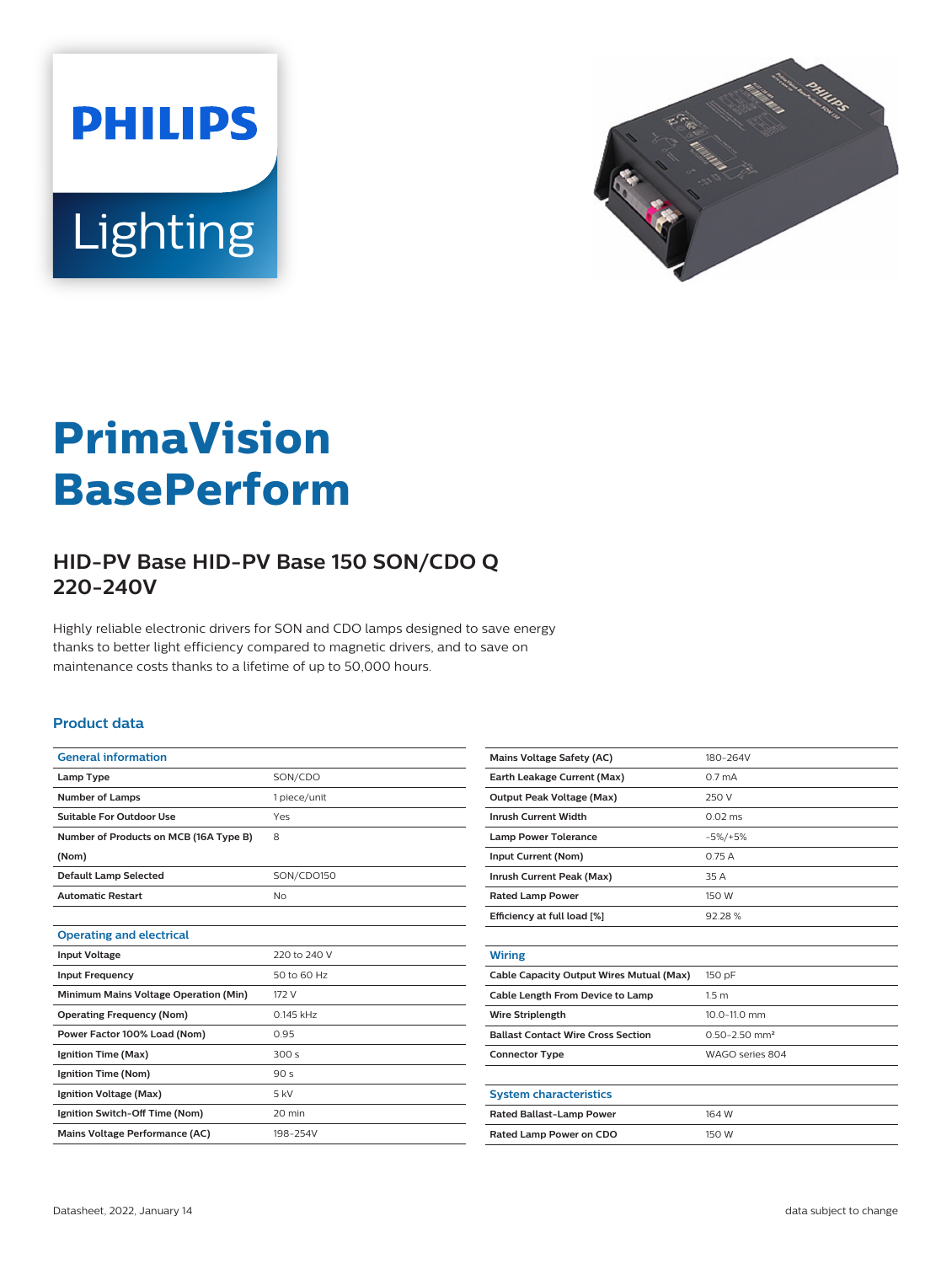



# **PrimaVision BasePerform**

## **HID-PV Base HID-PV Base 150 SON/CDO Q 220-240V**

Highly reliable electronic drivers for SON and CDO lamps designed to save energy thanks to better light efficiency compared to magnetic drivers, and to save on maintenance costs thanks to a lifetime of up to 50,000 hours.

#### **Product data**

| <b>General information</b>             |                 |
|----------------------------------------|-----------------|
| Lamp Type                              | SON/CDO         |
| <b>Number of Lamps</b>                 | 1 piece/unit    |
| Suitable For Outdoor Use               | Yes             |
| Number of Products on MCB (16A Type B) | 8               |
| (Nom)                                  |                 |
| <b>Default Lamp Selected</b>           | SON/CDO150      |
| <b>Automatic Restart</b>               | No              |
|                                        |                 |
| <b>Operating and electrical</b>        |                 |
| <b>Input Voltage</b>                   | 220 to 240 V    |
| <b>Input Frequency</b>                 | 50 to 60 Hz     |
| Minimum Mains Voltage Operation (Min)  | 172 V           |
| <b>Operating Frequency (Nom)</b>       | 0.145 kHz       |
| Power Factor 100% Load (Nom)           | 0.95            |
| Ignition Time (Max)                    | 300s            |
| Ignition Time (Nom)                    | 90 <sub>s</sub> |
| Ignition Voltage (Max)                 | 5 kV            |
| Ignition Switch-Off Time (Nom)         | 20 min          |
| Mains Voltage Performance (AC)         | 198-254V        |

| <b>Mains Voltage Safety (AC)</b>          | 180-264V                      |
|-------------------------------------------|-------------------------------|
| Earth Leakage Current (Max)               | 0.7 <sub>m</sub> A            |
| <b>Output Peak Voltage (Max)</b>          | 250 V                         |
| <b>Inrush Current Width</b>               | $0.02 \text{ ms}$             |
| <b>Lamp Power Tolerance</b>               | $-5\%/+5\%$                   |
| Input Current (Nom)                       | 0.75A                         |
| Inrush Current Peak (Max)                 | 35 A                          |
| <b>Rated Lamp Power</b>                   | 150 W                         |
| Efficiency at full load [%]               | 92.28%                        |
|                                           |                               |
| <b>Wiring</b>                             |                               |
| Cable Capacity Output Wires Mutual (Max)  | 150 pF                        |
| Cable Length From Device to Lamp          | 1.5 <sub>m</sub>              |
| <b>Wire Striplength</b>                   | 10.0-11.0 mm                  |
| <b>Ballast Contact Wire Cross Section</b> | $0.50 - 2.50$ mm <sup>2</sup> |
| <b>Connector Type</b>                     | WAGO series 804               |
|                                           |                               |
| <b>System characteristics</b>             |                               |
| Rated Ballast-Lamp Power                  | 164 W                         |
| Rated Lamp Power on CDO                   | 150 W                         |
|                                           |                               |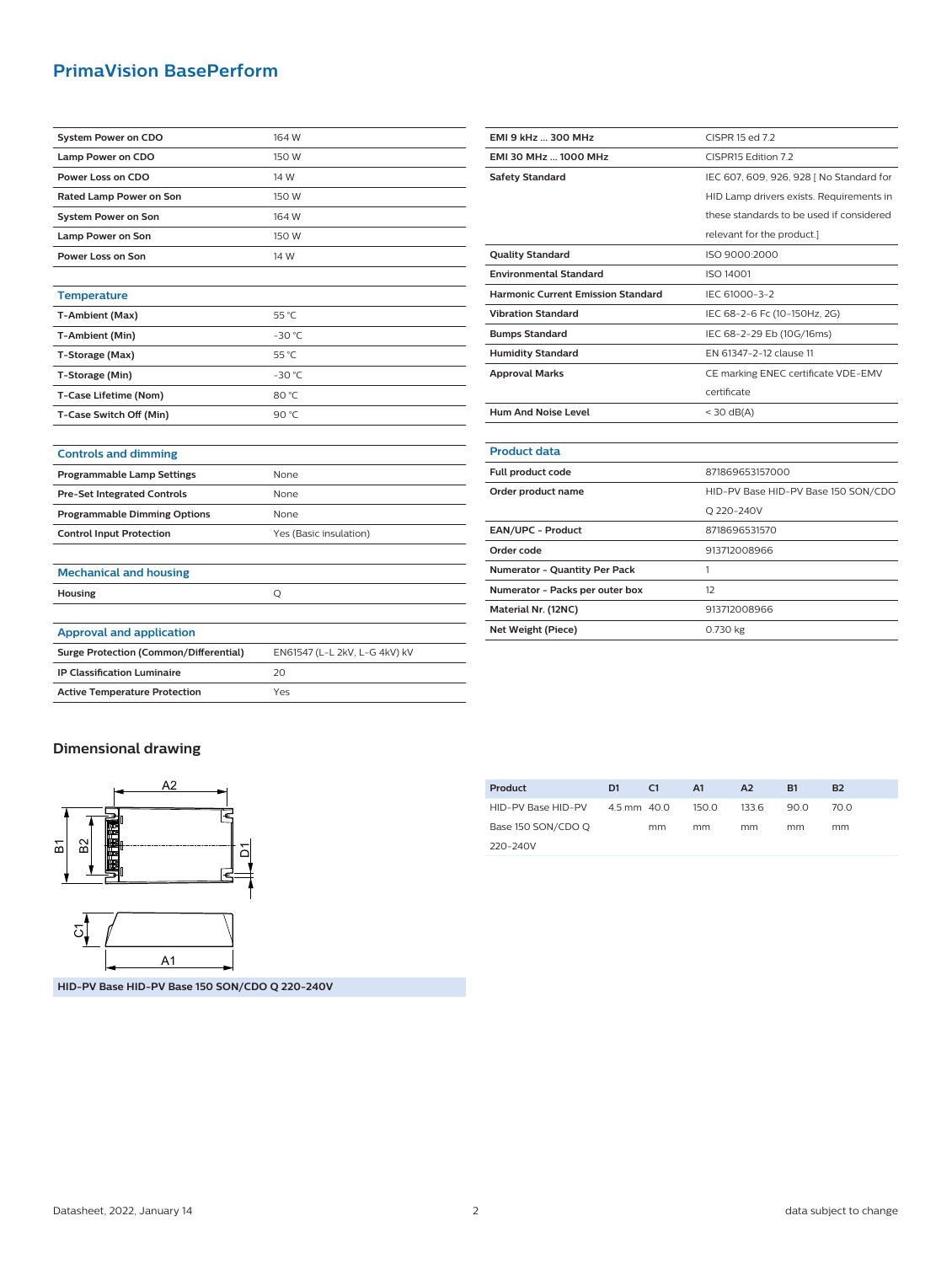### **PrimaVision BasePerform**

| <b>System Power on CDO</b>                    | 164 W                         |
|-----------------------------------------------|-------------------------------|
| Lamp Power on CDO                             | 150 W                         |
| Power Loss on CDO                             | 14 W                          |
| <b>Rated Lamp Power on Son</b>                | 150 W                         |
| <b>System Power on Son</b>                    | 164 W                         |
| <b>Lamp Power on Son</b>                      | 150 W                         |
| Power Loss on Son                             | 14 W                          |
|                                               |                               |
| <b>Temperature</b>                            |                               |
| T-Ambient (Max)                               | 55 °C                         |
| T-Ambient (Min)                               | $-30 °C$                      |
| T-Storage (Max)                               | 55 °C                         |
| T-Storage (Min)                               | $-30$ °C                      |
| T-Case Lifetime (Nom)                         | 80 °C                         |
| T-Case Switch Off (Min)                       | 90 °C                         |
|                                               |                               |
| <b>Controls and dimming</b>                   |                               |
| Programmable Lamp Settings                    | None                          |
| <b>Pre-Set Integrated Controls</b>            | None                          |
| <b>Programmable Dimming Options</b>           | None                          |
| <b>Control Input Protection</b>               | Yes (Basic insulation)        |
|                                               |                               |
| <b>Mechanical and housing</b>                 |                               |
| Housing                                       | Q                             |
|                                               |                               |
| <b>Approval and application</b>               |                               |
| <b>Surge Protection (Common/Differential)</b> | EN61547 (L-L 2kV, L-G 4kV) kV |
| <b>IP Classification Luminaire</b>            | 20                            |
| <b>Active Temperature Protection</b>          | Yes                           |

| EMI 9 kHz  300 MHz                        | CISPR 15 ed 7.2                          |
|-------------------------------------------|------------------------------------------|
| EMI 30 MHz  1000 MHz                      | CISPR15 Edition 7.2                      |
| <b>Safety Standard</b>                    | IEC 607, 609, 926, 928   No Standard for |
|                                           | HID Lamp drivers exists. Requirements in |
|                                           | these standards to be used if considered |
|                                           | relevant for the product.]               |
| <b>Quality Standard</b>                   | ISO 9000:2000                            |
| <b>Environmental Standard</b>             | ISO 14001                                |
| <b>Harmonic Current Emission Standard</b> | IEC 61000-3-2                            |
| <b>Vibration Standard</b>                 | IEC 68-2-6 Fc (10-150Hz, 2G)             |
| <b>Bumps Standard</b>                     | IEC 68-2-29 Eb (10G/16ms)                |
| <b>Humidity Standard</b>                  | EN 61347-2-12 clause 11                  |
| <b>Approval Marks</b>                     | CE marking ENEC certificate VDE-EMV      |
|                                           | certificate                              |
| <b>Hum And Noise Level</b>                | $<$ 30 dB(A)                             |
|                                           |                                          |
| <b>Product data</b>                       |                                          |
| Full product code                         | 871869653157000                          |
| Order product name                        | HID-PV Base HID-PV Base 150 SON/CDO      |
|                                           | O 220-240V                               |
| EAN/UPC - Product                         | 8718696531570                            |
| Order code                                | 913712008966                             |
| Numerator - Quantity Per Pack             | 1                                        |
| Numerator - Packs per outer box           | 12                                       |
| Material Nr. (12NC)                       | 913712008966                             |
| Net Weight (Piece)                        | 0.730 kg                                 |

#### **Dimensional drawing**



HID-PV Base HID-PV Base 150 SON/CDO Q 220-240V 4.5 mm 40.0 mm 150.0 mm 133.6 mm 90.0 mm 70.0 mm

**Product D1 C1 A1 A2 B1 B2**

**HID-PV Base HID-PV Base 150 SON/CDO Q 220-240V**